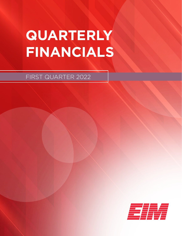# **QUARTERLY FINANCIALS**

FIRST QUARTER 2022

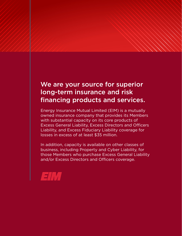## We are your source for superior long-term insurance and risk financing products and services.

Energy Insurance Mutual Limited (EIM) is a mutually owned insurance company that provides its Members with substantial capacity on its core products of Excess General Liability, Excess Directors and Officers Liability, and Excess Fiduciary Liability coverage for losses in excess of at least \$35 million.

In addition, capacity is available on other classes of business, including Property and Cyber Liability, for those Members who purchase Excess General Liability and/or Excess Directors and Officers coverage.

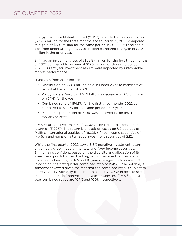## 1ST QUARTER 2022

Energy Insurance Mutual Limited ("EIM") recorded a loss on surplus of (\$75.6) million for the three months ended March 31, 2022 compared to a gain of \$17.0 million for the same period in 2021. EIM recorded a loss from underwriting of (\$33.5) million compared to a gain of \$3.2 million in the prior year.

EIM had an investment loss of (\$62.8) million for the first three months of 2022 compared to income of \$17.5 million for the same period in 2021. Current year investment results were impacted by unfavorable market performance.

Highlights from 2022 include:

- Distribution of \$50.0 million paid in March 2022 to members of record at December 31, 2021.
- Policyholders' Surplus of \$1.2 billion, a decrease of \$75.6 million or (6.1%) for the year.
- Combined ratio of 154.3% for the first three months 2022 as compared to 94.2% for the same period prior year.
- Membership retention of 100% was achieved in the first three months of 2022.

EIM's return on investments of (3.30%) compared to a benchmark return of (3.29%). The return is a result of losses on US equities of (4.11%), international equities of (6.22%), fixed income securities of (4.45%) and gains on alternative investment securities of 2.12%.

t portfolio, that the long term investment returns are on achievable, with 5 and 10 year averages both above 5.5%.<br>
scheized with 5 and 10 year averages both above 5.5%.<br>
I, the first quarter combined ratio of 154%, while While the first quarter 2022 saw a 3.3% negative investment return driven by a drop in equity markets and fixed income securities, EIM remains confident, based on the diversity and allocation of its investment portfolio, that the long term investment returns are on track and achievable, with 5 and 10 year averages both above 5.5%. In addition, the first quarter combined ratio of 154%, while notable, is somewhat skewed given the fact that the combined ratio is subject to more volatility with only three months of activity. We expect to see the combined ratio improve as the year progresses. EIM's 5 and 10 year combined ratios are 107% and 100%, respectively.